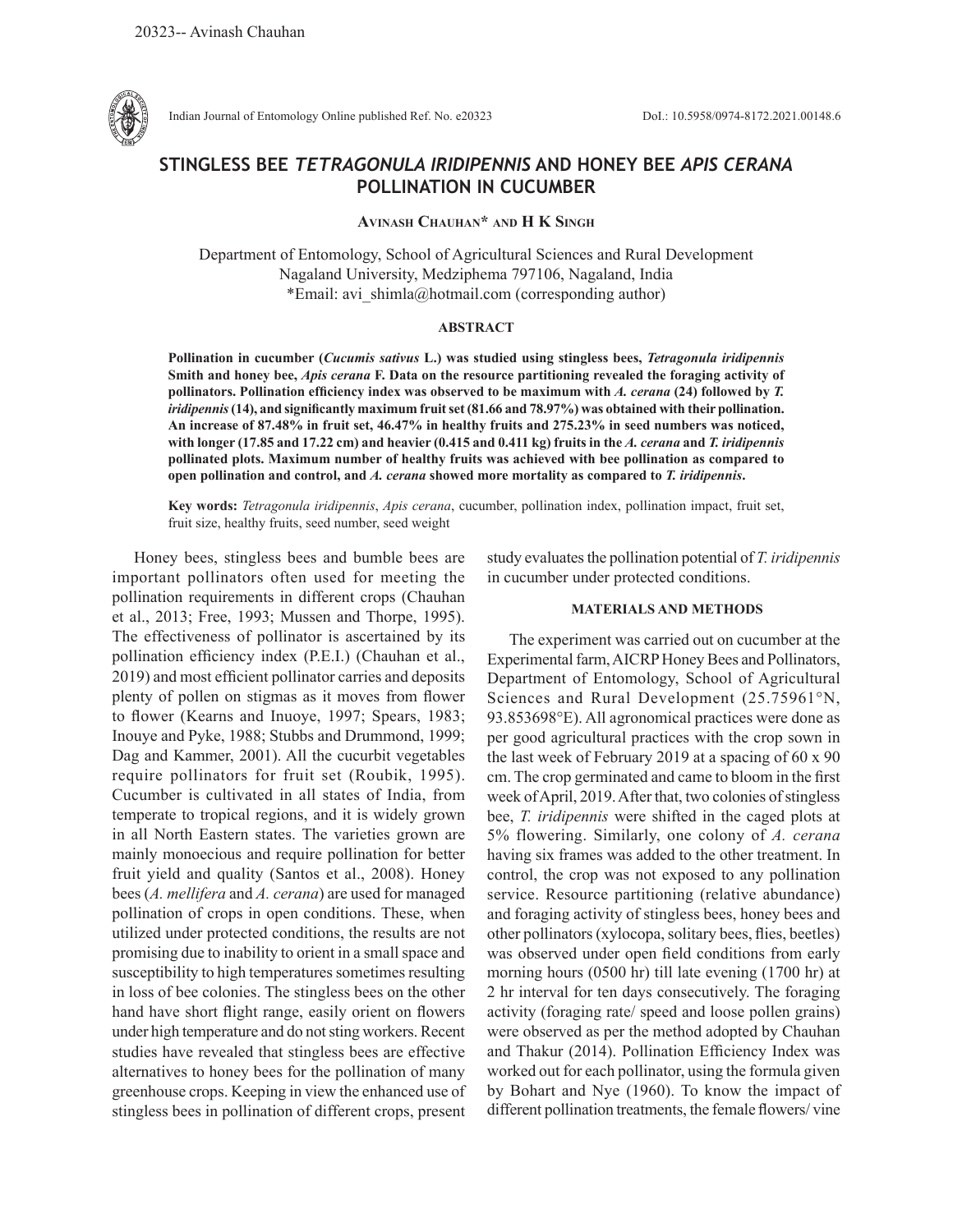

Indian Journal of Entomology Online published Ref. No. e20323 DoI.: 10.5958/0974-8172.2021.00148.6

# **STINGLESS BEE** *TETRAGONULA IRIDIPENNIS* **AND HONEY BEE** *APIS CERANA* **POLLINATION IN CUCUMBER**

## **Avinash Chauhan\* and H K Singh**

Department of Entomology, School of Agricultural Sciences and Rural Development Nagaland University, Medziphema 797106, Nagaland, India \*Email: avi\_shimla@hotmail.com (corresponding author)

#### **ABSTRACT**

**Pollination in cucumber (***Cucumis sativus* **L.) was studied using stingless bees,** *Tetragonula iridipennis*  **Smith and honey bee,** *Apis cerana* **F. Data on the resource partitioning revealed the foraging activity of pollinators. Pollination efficiency index was observed to be maximum with** *A. cerana* **(24) followed by** *T. iridipennis* **(14), and significantly maximum fruit set (81.66 and 78.97%) was obtained with their pollination. An increase of 87.48% in fruit set, 46.47% in healthy fruits and 275.23% in seed numbers was noticed, with longer (17.85 and 17.22 cm) and heavier (0.415 and 0.411 kg) fruits in the** *A. cerana* **and** *T. iridipennis* **pollinated plots. Maximum number of healthy fruits was achieved with bee pollination as compared to open pollination and control, and** *A. cerana* **showed more mortality as compared to** *T. iridipennis***.**

**Key words:** *Tetragonula iridipennis*, *Apis cerana*, cucumber, pollination index, pollination impact, fruit set, fruit size, healthy fruits, seed number, seed weight

Honey bees, stingless bees and bumble bees are important pollinators often used for meeting the pollination requirements in different crops (Chauhan et al., 2013; Free, 1993; Mussen and Thorpe, 1995). The effectiveness of pollinator is ascertained by its pollination efficiency index (P.E.I.) (Chauhan et al., 2019) and most efficient pollinator carries and deposits plenty of pollen on stigmas as it moves from flower to flower (Kearns and Inuoye, 1997; Spears, 1983; Inouye and Pyke, 1988; Stubbs and Drummond, 1999; Dag and Kammer, 2001). All the cucurbit vegetables require pollinators for fruit set (Roubik, 1995). Cucumber is cultivated in all states of India, from temperate to tropical regions, and it is widely grown in all North Eastern states. The varieties grown are mainly monoecious and require pollination for better fruit yield and quality (Santos et al., 2008). Honey bees (*A. mellifera* and *A. cerana*) are used for managed pollination of crops in open conditions. These, when utilized under protected conditions, the results are not promising due to inability to orient in a small space and susceptibility to high temperatures sometimes resulting in loss of bee colonies. The stingless bees on the other hand have short flight range, easily orient on flowers under high temperature and do not sting workers. Recent studies have revealed that stingless bees are effective alternatives to honey bees for the pollination of many greenhouse crops. Keeping in view the enhanced use of stingless bees in pollination of different crops, present

study evaluates the pollination potential of *T. iridipennis* in cucumber under protected conditions.

## **MATERIALS AND METHODS**

The experiment was carried out on cucumber at the Experimental farm, AICRP Honey Bees and Pollinators, Department of Entomology, School of Agricultural Sciences and Rural Development (25.75961°N, 93.853698°E). All agronomical practices were done as per good agricultural practices with the crop sown in the last week of February 2019 at a spacing of 60 x 90 cm. The crop germinated and came to bloom in the first week of April, 2019. After that, two colonies of stingless bee, *T. iridipennis* were shifted in the caged plots at 5% flowering. Similarly, one colony of *A. cerana* having six frames was added to the other treatment. In control, the crop was not exposed to any pollination service. Resource partitioning (relative abundance) and foraging activity of stingless bees, honey bees and other pollinators (xylocopa, solitary bees, flies, beetles) was observed under open field conditions from early morning hours (0500 hr) till late evening (1700 hr) at 2 hr interval for ten days consecutively. The foraging activity (foraging rate/ speed and loose pollen grains) were observed as per the method adopted by Chauhan and Thakur (2014). Pollination Efficiency Index was worked out for each pollinator, using the formula given by Bohart and Nye (1960). To know the impact of different pollination treatments, the female flowers/ vine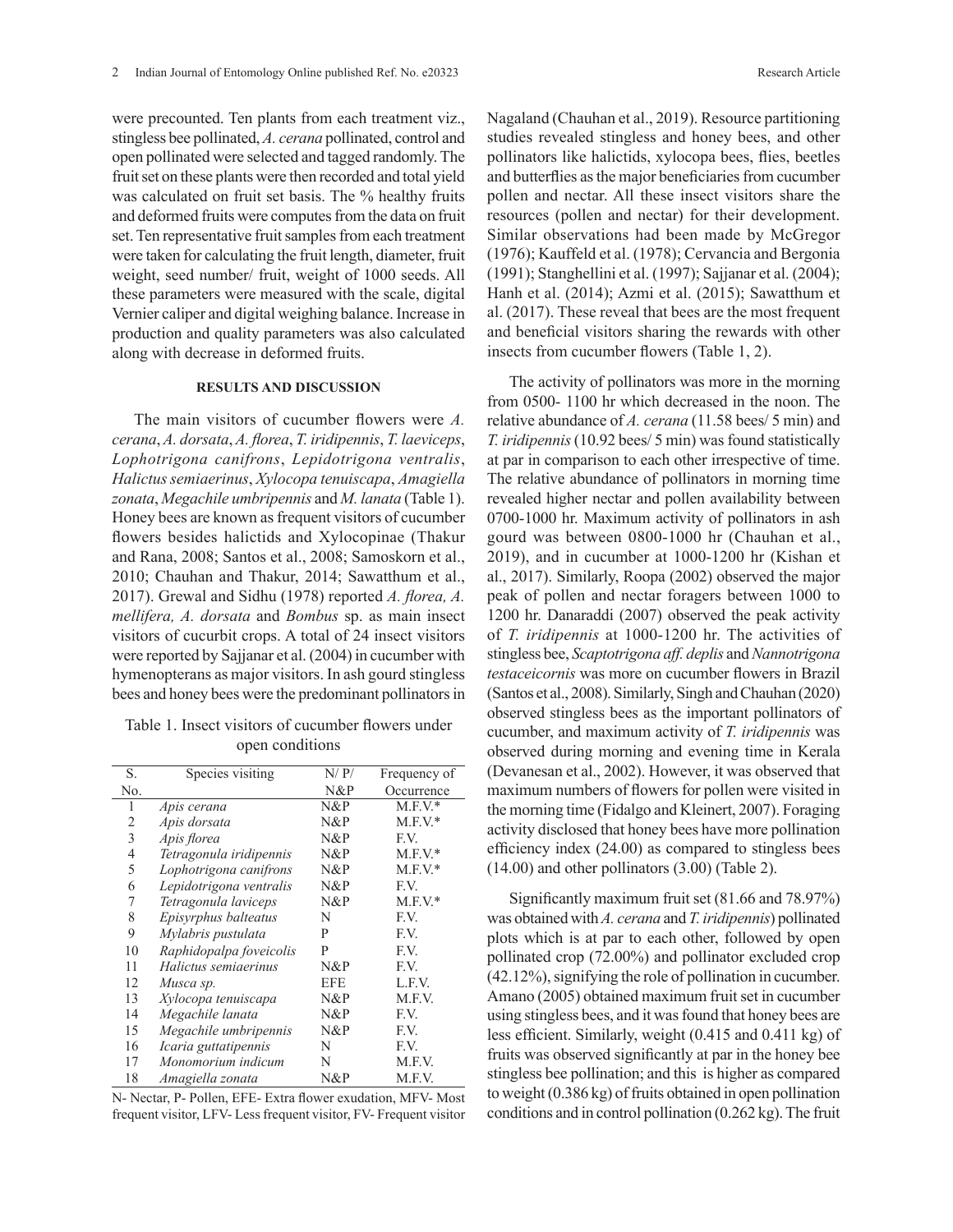were precounted. Ten plants from each treatment viz., stingless bee pollinated, *A. cerana* pollinated, control and open pollinated were selected and tagged randomly. The fruit set on these plants were then recorded and total yield was calculated on fruit set basis. The % healthy fruits and deformed fruits were computes from the data on fruit set. Ten representative fruit samples from each treatment were taken for calculating the fruit length, diameter, fruit weight, seed number/ fruit, weight of 1000 seeds. All these parameters were measured with the scale, digital Vernier caliper and digital weighing balance. Increase in production and quality parameters was also calculated along with decrease in deformed fruits.

### **RESULTS AND DISCUSSION**

The main visitors of cucumber flowers were *A. cerana*, *A. dorsata*, *A. florea*, *T. iridipennis*, *T. laeviceps*, *Lophotrigona canifrons*, *Lepidotrigona ventralis*, *Halictussemiaerinus*, *Xylocopa tenuiscapa*, *Amagiella zonata*, *Megachile umbripennis* and *M. lanata* (Table 1). Honey bees are known as frequent visitors of cucumber flowers besides halictids and Xylocopinae (Thakur and Rana, 2008; Santos et al., 2008; Samoskorn et al., 2010; Chauhan and Thakur, 2014; Sawatthum et al., 2017). Grewal and Sidhu (1978) reported *A. florea, A. mellifera, A. dorsata* and *Bombus* sp. as main insect visitors of cucurbit crops. A total of 24 insect visitors were reported by Sajjanar et al. (2004) in cucumber with hymenopterans as major visitors. In ash gourd stingless bees and honey bees were the predominant pollinators in

Table 1. Insect visitors of cucumber flowers under open conditions

| S.  | Species visiting        | N/P/       | Frequency of |
|-----|-------------------------|------------|--------------|
| No. |                         | N&P        | Occurrence   |
| 1   | Apis cerana             | $N\&P$     | $M.F.V.*$    |
| 2   | Apis dorsata            | $N\&P$     | $M.F.V.*$    |
| 3   | Apis florea             | $N\&P$     | F.V.         |
| 4   | Tetragonula iridipennis | N&P        | $M.F.V.*$    |
| 5   | Lophotrigona canifrons  | N&P        | $M.F.V.*$    |
| 6   | Lepidotrigona ventralis | $N\&P$     | F.V.         |
| 7   | Tetragonula laviceps    | $N\&P$     | $M.F.V.*$    |
| 8   | Episyrphus balteatus    | N          | F.V.         |
| 9   | Mylabris pustulata      | P          | F.V.         |
| 10  | Raphidopalpa foveicolis | P          | F.V.         |
| 11  | Halictus semiaerinus    | N&P        | F.V.         |
| 12  | Musca sp.               | <b>EFE</b> | L.F.V.       |
| 13  | Xylocopa tenuiscapa     | $N\&P$     | M.F.V.       |
| 14  | Megachile lanata        | $N\&P$     | F.V.         |
| 15  | Megachile umbripennis   | $N\&P$     | F.V.         |
| 16  | Icaria guttatipennis    | N          | F.V.         |
| 17  | Monomorium indicum      | N          | M.F.V.       |
| 18  | Amagiella zonata        | N&P        | M.F.V.       |

N- Nectar, P- Pollen, EFE- Extra flower exudation, MFV- Most frequent visitor, LFV- Less frequent visitor, FV- Frequent visitor Nagaland (Chauhan et al., 2019). Resource partitioning studies revealed stingless and honey bees, and other pollinators like halictids, xylocopa bees, flies, beetles and butterflies as the major beneficiaries from cucumber pollen and nectar. All these insect visitors share the resources (pollen and nectar) for their development. Similar observations had been made by McGregor (1976); Kauffeld et al. (1978); Cervancia and Bergonia (1991); Stanghellini et al. (1997); Sajjanar et al. (2004); Hanh et al. (2014); Azmi et al. (2015); Sawatthum et al. (2017). These reveal that bees are the most frequent and beneficial visitors sharing the rewards with other insects from cucumber flowers (Table 1, 2).

The activity of pollinators was more in the morning from 0500- 1100 hr which decreased in the noon. The relative abundance of *A. cerana* (11.58 bees/ 5 min) and *T. iridipennis* (10.92 bees/ 5 min) was found statistically at par in comparison to each other irrespective of time. The relative abundance of pollinators in morning time revealed higher nectar and pollen availability between 0700-1000 hr. Maximum activity of pollinators in ash gourd was between 0800-1000 hr (Chauhan et al., 2019), and in cucumber at 1000-1200 hr (Kishan et al., 2017). Similarly, Roopa (2002) observed the major peak of pollen and nectar foragers between 1000 to 1200 hr. Danaraddi (2007) observed the peak activity of *T. iridipennis* at 1000-1200 hr. The activities of stingless bee, *Scaptotrigona aff. deplis* and *Nannotrigona testaceicornis* was more on cucumber flowers in Brazil (Santos et al., 2008). Similarly, Singh and Chauhan (2020) observed stingless bees as the important pollinators of cucumber, and maximum activity of *T. iridipennis* was observed during morning and evening time in Kerala (Devanesan et al., 2002). However, it was observed that maximum numbers of flowers for pollen were visited in the morning time (Fidalgo and Kleinert, 2007). Foraging activity disclosed that honey bees have more pollination efficiency index (24.00) as compared to stingless bees (14.00) and other pollinators (3.00) (Table 2).

Significantly maximum fruit set (81.66 and 78.97%) was obtained with *A. cerana* and *T. iridipennis*) pollinated plots which is at par to each other, followed by open pollinated crop (72.00%) and pollinator excluded crop (42.12%), signifying the role of pollination in cucumber. Amano (2005) obtained maximum fruit set in cucumber using stingless bees, and it was found that honey bees are less efficient. Similarly, weight (0.415 and 0.411 kg) of fruits was observed significantly at par in the honey bee stingless bee pollination; and this is higher as compared to weight (0.386 kg) of fruits obtained in open pollination conditions and in control pollination (0.262 kg). The fruit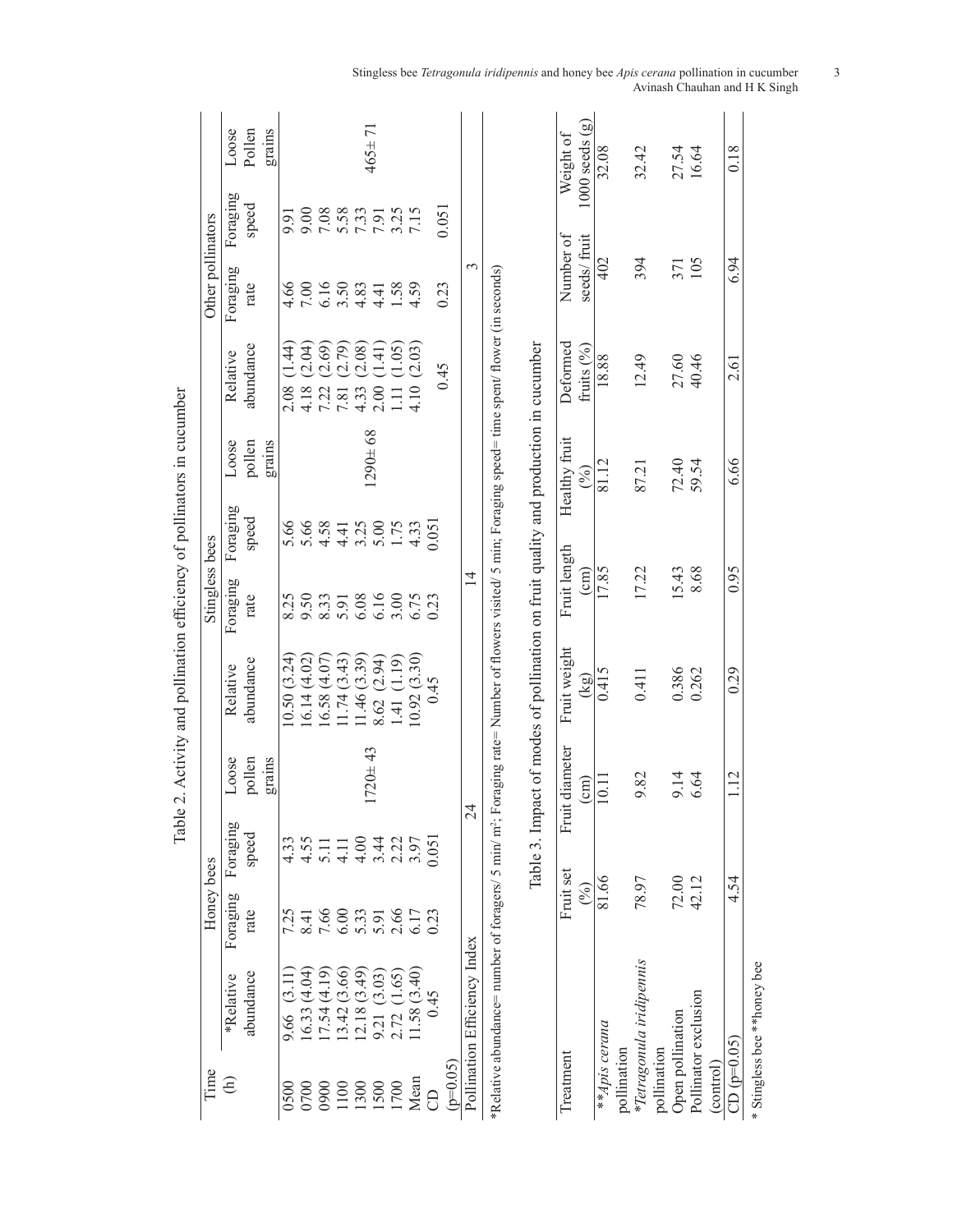| Time                         | Honey bees               |          |                |                                                                                                                                                                                                                                                          | Stingless bees                       |                                       |               |                    | Other pollinators          |                                      |                    |
|------------------------------|--------------------------|----------|----------------|----------------------------------------------------------------------------------------------------------------------------------------------------------------------------------------------------------------------------------------------------------|--------------------------------------|---------------------------------------|---------------|--------------------|----------------------------|--------------------------------------|--------------------|
| *Relative                    | Foraging                 | Foraging | Loose          | Relative                                                                                                                                                                                                                                                 | Foraging                             | Foraging                              | Loose         | Relative           | Foraging                   | Foraging                             | Loose              |
| abundance                    | rate                     | speed    | pollen         | abundance                                                                                                                                                                                                                                                | rate                                 | speed                                 | pollen        | abundance          | rate                       | speed                                | Pollen             |
|                              |                          |          | grains         |                                                                                                                                                                                                                                                          |                                      |                                       | grains        |                    |                            |                                      | grains             |
| $\overline{3}$ .<br>9.66     | 7.25                     | 4.33     |                | 10.50(3.24)                                                                                                                                                                                                                                              | 8.25                                 | 5.66                                  |               | । 44)<br>4<br>2.08 | 4.66                       | 9.91                                 |                    |
| (6.33(4.04))                 | $\overline{\phantom{1}}$ | 4.55     |                | 16.14(4.02)                                                                                                                                                                                                                                              | 9.50                                 | 5.66                                  |               | (2.04)<br>4.18     | 7.00                       | 00.6                                 |                    |
| (7.54(4.19))                 |                          | 5.11     |                | 16.58(4.07)                                                                                                                                                                                                                                              |                                      |                                       |               | (2.69)             | $6.16$<br>$3.50$<br>$4.83$ | $7.08$<br>$7.58$<br>$7.33$<br>$7.91$ |                    |
|                              | $7.66$<br>6.00<br>5.33   | 4.11     |                | 11.74(3.43)                                                                                                                                                                                                                                              | 8.33<br>5.91<br>6.06<br>6.75<br>6.75 | $381100000$<br>$4400000$<br>$4400000$ |               | (2.79)<br>7.22     |                            |                                      |                    |
| 13.42 (3.66)<br>12.18 (3.49) |                          | 4.00     |                | 1.46(3.39)                                                                                                                                                                                                                                               |                                      |                                       |               | (2.08)<br>4.33     |                            |                                      |                    |
| 9.21 (3.03)                  | 5.91                     |          | $1720 + 43$    | 8.62 (2.94)                                                                                                                                                                                                                                              |                                      |                                       | $1290 \pm 68$ | (1.41)<br>2.00     | 4.41                       |                                      | $465 \pm 71$       |
| 2.72(1.65)                   |                          |          |                | .41(1.19)                                                                                                                                                                                                                                                |                                      |                                       |               | (1.05)<br>$\Xi$    | 1.58<br>4.59               |                                      |                    |
| 1.58(3.40)<br>Mean           | 2.66<br>6.17             |          |                | 10.92(3.30)                                                                                                                                                                                                                                              |                                      |                                       |               | 4.10(2.03)         |                            | $3.25$<br>7.15                       |                    |
| 0.45                         | 0.23                     | 0.051    |                | 0.45                                                                                                                                                                                                                                                     | 0.23                                 | 0.051                                 |               |                    |                            |                                      |                    |
| $(p=0.05)$                   |                          |          |                |                                                                                                                                                                                                                                                          |                                      |                                       |               | 645                | 0.23                       | 0.051                                |                    |
| Pollination Efficiency Index |                          |          | $\mathbb{Z}$   |                                                                                                                                                                                                                                                          | $\overline{4}$                       |                                       |               |                    | 3                          |                                      |                    |
|                              |                          |          |                | *Relative abundance= number of foragers/ 5 min/ m <sup>2</sup> ; Foraging rate= Number of flowers visited/ 5 min; Foraging speed= time spent/ flower (in seconds)<br>Table 3. Impact of modes of pollination on fruit quality and production in cucumber |                                      |                                       |               |                    |                            |                                      |                    |
| Treatment                    | Fruit set                | Frui     | t diameter     | Fruit weight                                                                                                                                                                                                                                             | Fruit length                         |                                       | Healthy fruit | Deformed           | Number of                  |                                      | Weight of          |
|                              | (%)                      |          | $\binom{cm}{}$ | (kg)                                                                                                                                                                                                                                                     | $\text{cm}$ )                        |                                       | (%)           | fruits $(%)$       | seeds/ fruit               |                                      | $1000$ seeds $(g)$ |
| **Apis cerana                | 81.66                    |          | 10.11          | 0.415                                                                                                                                                                                                                                                    | 17.85                                |                                       | 81.12         | 18.88              | 402                        |                                      | 32.08              |
| pollination                  |                          |          |                |                                                                                                                                                                                                                                                          |                                      |                                       |               |                    |                            |                                      |                    |
| *Tetragonula iridipennis     | 78.97                    |          | 9.82           | 0.411                                                                                                                                                                                                                                                    | 17.22                                |                                       | 87.21         | 12.49              | 394                        |                                      | 32.42              |
| pollination                  |                          |          |                |                                                                                                                                                                                                                                                          |                                      |                                       |               |                    |                            |                                      |                    |
| Open pollination             | 72.00                    |          | 9.14           | 0.386                                                                                                                                                                                                                                                    | 15.43                                |                                       | 72.40         | 27.60              | 371                        |                                      | 27.54              |
| Pollinator exclusion         | 42.12                    |          | 6.64           | 0.262                                                                                                                                                                                                                                                    | 8.68                                 |                                       | 59.54         | 40.46              | 105                        |                                      | 16.64              |
|                              |                          |          |                |                                                                                                                                                                                                                                                          |                                      |                                       |               |                    |                            |                                      |                    |

Table 2. Activity and pollination efficiency of pollinators in cucumber Table 2. Activity and pollination efficiency of pollinators in cucumber

> $\frac{\text{(control)}}{\text{CD (p=0.05)}}$ <br>\* Stingless bee \*\*honey bee \* Stingless bee \*\*honey bee

8.10 1.01 1.01 1.2 1.12 0.29 0.95 6.05 0.29 0.29 0.29 0.29 0.29 0.29 0.201 0.29 0.29 0.29 0.29 0.29 0.29 0.29 0

 $\overline{0.29}$ 

 $\frac{112}{1}$ 

4.54

 $\frac{560}{26}$ 

 $\frac{8}{18}$ 

 $6.94$ 

 $\frac{2.61}{ }$ 

 $\frac{6.66}{ }$ 

Stingless bee *Tetragonula iridipennis* and honey bee *Apis cerana* pollination in cucumber 3 Avinash Chauhan and H K Singh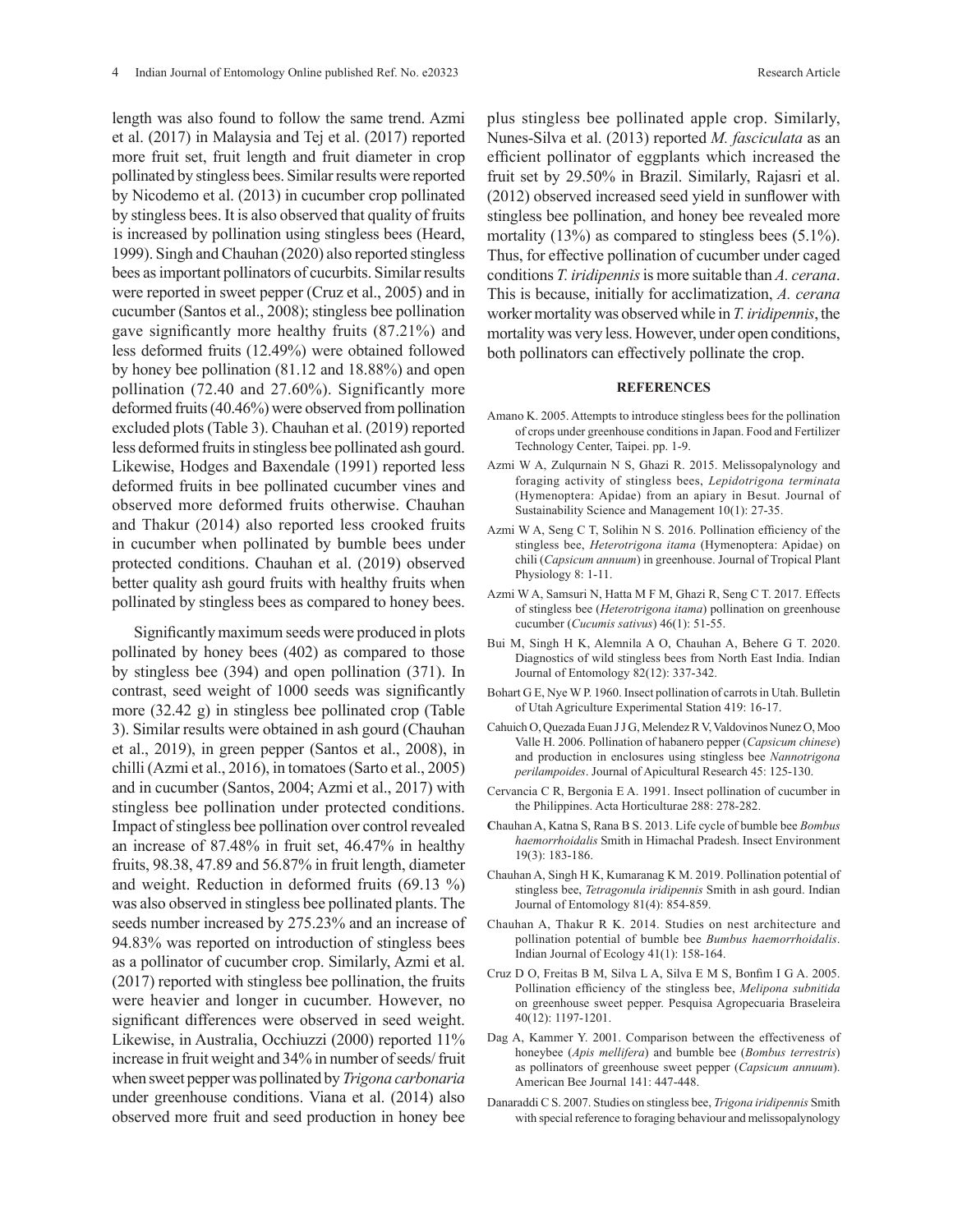length was also found to follow the same trend. Azmi et al. (2017) in Malaysia and Tej et al. (2017) reported more fruit set, fruit length and fruit diameter in crop pollinated by stingless bees. Similar results were reported by Nicodemo et al. (2013) in cucumber crop pollinated by stingless bees. It is also observed that quality of fruits is increased by pollination using stingless bees (Heard, 1999). Singh and Chauhan (2020) also reported stingless bees as important pollinators of cucurbits. Similar results were reported in sweet pepper (Cruz et al., 2005) and in cucumber (Santos et al., 2008); stingless bee pollination gave significantly more healthy fruits (87.21%) and less deformed fruits (12.49%) were obtained followed by honey bee pollination (81.12 and 18.88%) and open pollination (72.40 and 27.60%). Significantly more deformed fruits (40.46%) were observed from pollination excluded plots (Table 3). Chauhan et al. (2019) reported less deformed fruits in stingless bee pollinated ash gourd. Likewise, Hodges and Baxendale (1991) reported less deformed fruits in bee pollinated cucumber vines and observed more deformed fruits otherwise. Chauhan and Thakur (2014) also reported less crooked fruits in cucumber when pollinated by bumble bees under protected conditions. Chauhan et al. (2019) observed better quality ash gourd fruits with healthy fruits when pollinated by stingless bees as compared to honey bees.

Significantly maximum seeds were produced in plots pollinated by honey bees (402) as compared to those by stingless bee (394) and open pollination (371). In contrast, seed weight of 1000 seeds was significantly more (32.42 g) in stingless bee pollinated crop (Table 3). Similar results were obtained in ash gourd (Chauhan et al., 2019), in green pepper (Santos et al., 2008), in chilli (Azmi et al., 2016), in tomatoes (Sarto et al., 2005) and in cucumber (Santos, 2004; Azmi et al., 2017) with stingless bee pollination under protected conditions. Impact of stingless bee pollination over control revealed an increase of 87.48% in fruit set, 46.47% in healthy fruits, 98.38, 47.89 and 56.87% in fruit length, diameter and weight. Reduction in deformed fruits (69.13 %) was also observed in stingless bee pollinated plants. The seeds number increased by 275.23% and an increase of 94.83% was reported on introduction of stingless bees as a pollinator of cucumber crop. Similarly, Azmi et al. (2017) reported with stingless bee pollination, the fruits were heavier and longer in cucumber. However, no significant differences were observed in seed weight. Likewise, in Australia, Occhiuzzi (2000) reported 11% increase in fruit weight and 34% in number of seeds/ fruit when sweet pepper was pollinated by *Trigona carbonaria*  under greenhouse conditions. Viana et al. (2014) also observed more fruit and seed production in honey bee

plus stingless bee pollinated apple crop. Similarly, Nunes-Silva et al. (2013) reported *M. fasciculata* as an efficient pollinator of eggplants which increased the fruit set by 29.50% in Brazil. Similarly, Rajasri et al. (2012) observed increased seed yield in sunflower with stingless bee pollination, and honey bee revealed more mortality (13%) as compared to stingless bees (5.1%). Thus, for effective pollination of cucumber under caged conditions *T. iridipennis* is more suitable than *A. cerana*. This is because, initially for acclimatization, *A. cerana* worker mortality was observed while in *T. iridipennis*, the mortality was very less. However, under open conditions, both pollinators can effectively pollinate the crop.

#### **REFERENCES**

- Amano K. 2005. Attempts to introduce stingless bees for the pollination of crops under greenhouse conditions in Japan. Food and Fertilizer Technology Center, Taipei. pp. 1-9.
- Azmi W A, Zulqurnain N S, Ghazi R. 2015. Melissopalynology and foraging activity of stingless bees, *Lepidotrigona terminata*  (Hymenoptera: Apidae) from an apiary in Besut. Journal of Sustainability Science and Management 10(1): 27-35.
- Azmi W A, Seng C T, Solihin N S. 2016. Pollination efficiency of the stingless bee, *Heterotrigona itama* (Hymenoptera: Apidae) on chili (*Capsicum annuum*) in greenhouse. Journal of Tropical Plant Physiology 8: 1-11.
- Azmi W A, Samsuri N, Hatta M F M, Ghazi R, Seng C T. 2017. Effects of stingless bee (*Heterotrigona itama*) pollination on greenhouse cucumber (*Cucumis sativus*) 46(1): 51-55.
- Bui M, Singh H K, Alemnila A O, Chauhan A, Behere G T. 2020. Diagnostics of wild stingless bees from North East India. Indian Journal of Entomology 82(12): 337-342.
- Bohart G E, Nye W P. 1960. Insect pollination of carrots in Utah. Bulletin of Utah Agriculture Experimental Station 419: 16-17.
- Cahuich O, Quezada Euan J J G, Melendez R V, Valdovinos Nunez O, Moo Valle H. 2006. Pollination of habanero pepper (*Capsicum chinese*) and production in enclosures using stingless bee *Nannotrigona perilampoides*. Journal of Apicultural Research 45: 125-130.
- Cervancia C R, Bergonia E A. 1991. Insect pollination of cucumber in the Philippines. Acta Horticulturae 288: 278-282.
- **C**hauhan A, Katna S, Rana B S. 2013. Life cycle of bumble bee *Bombus haemorrhoidalis* Smith in Himachal Pradesh. Insect Environment 19(3): 183-186.
- Chauhan A, Singh H K, Kumaranag K M. 2019. Pollination potential of stingless bee, *Tetragonula iridipennis* Smith in ash gourd. Indian Journal of Entomology 81(4): 854-859.
- Chauhan A, Thakur R K. 2014. Studies on nest architecture and pollination potential of bumble bee *Bumbus haemorrhoidalis*. Indian Journal of Ecology 41(1): 158-164.
- Cruz D O, Freitas B M, Silva L A, Silva E M S, Bonfim I G A. 2005. Pollination efficiency of the stingless bee, *Melipona subnitida* on greenhouse sweet pepper. Pesquisa Agropecuaria Braseleira 40(12): 1197-1201.
- Dag A, Kammer Y. 2001. Comparison between the effectiveness of honeybee (*Apis mellifera*) and bumble bee (*Bombus terrestris*) as pollinators of greenhouse sweet pepper (*Capsicum annuum*). American Bee Journal 141: 447-448.
- Danaraddi C S. 2007. Studies on stingless bee, *Trigona iridipennis* Smith with special reference to foraging behaviour and melissopalynology